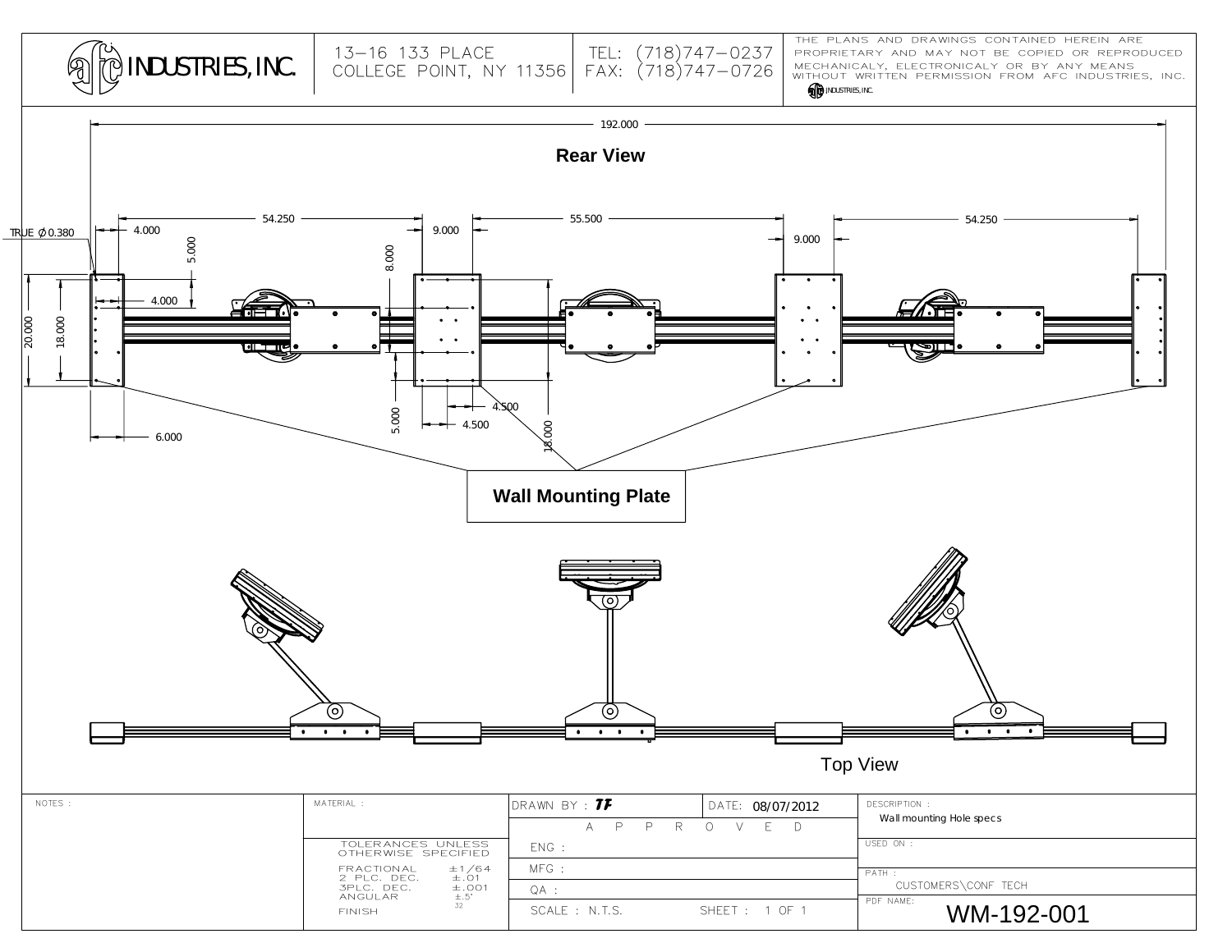

MECHANICALY, ELECTRONICALY OR BY ANY MEANS PROPRIETARY AND MAY NOT BE COPIED OR REPRODUCED THE PLANS AND DRAWINGS CONTAINED HEREIN ARE

**ID** INDUSTRIES, INC. WITHOUT WRITTEN PERMISSION FROM AFC INDUSTRIES, INC.

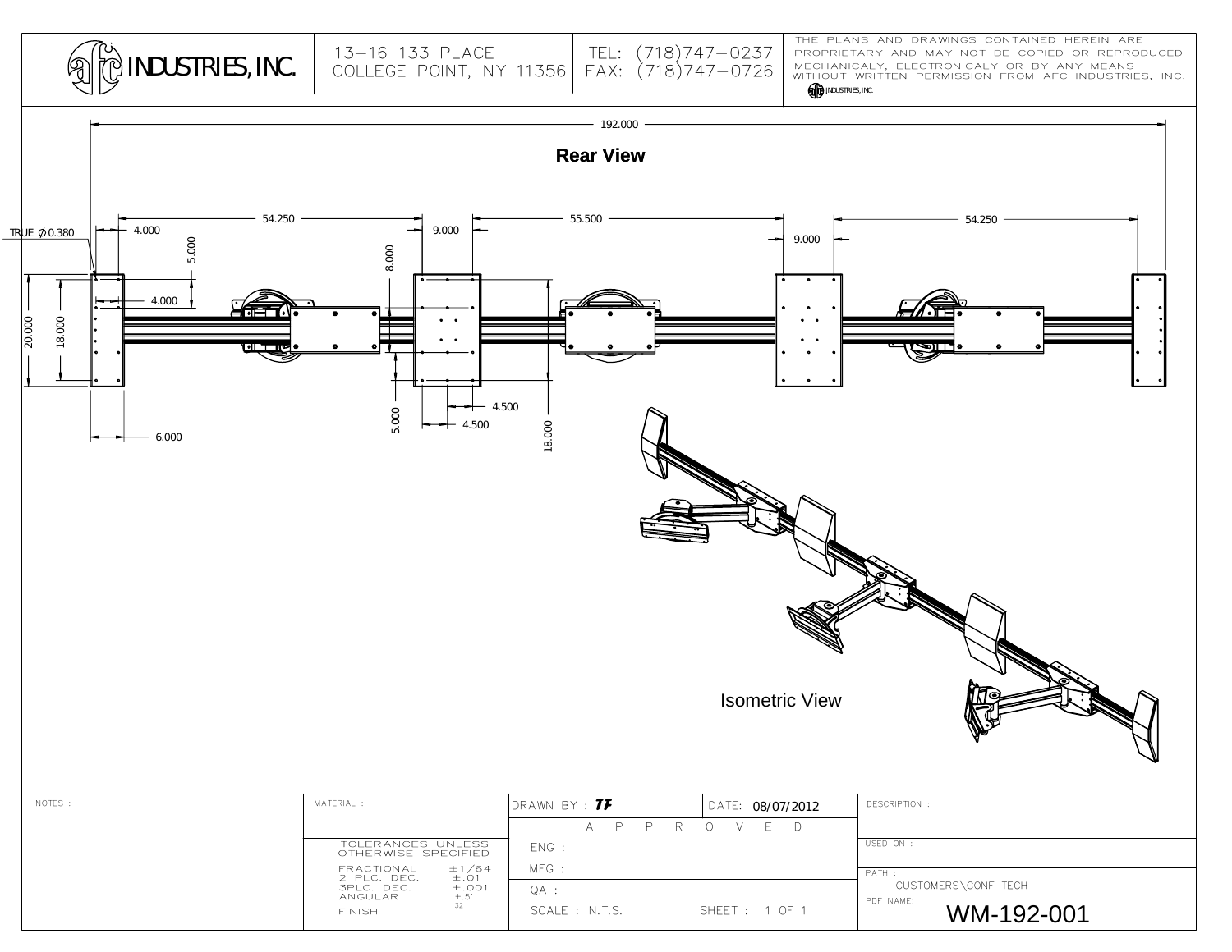| <b>AD INDUSTRIES, INC.</b> |  |
|----------------------------|--|
|----------------------------|--|

## MECHANICALY, ELECTRONICALY OR BY ANY MEANS<br>WITHOUT WRITTEN PERMISSION FROM AFC INDUSTRIES, INC. PROPRIETARY AND MAY NOT BE COPIED OR REPRODUCED THE PLANS AND DRAWINGS CONTAINED HEREIN ARE



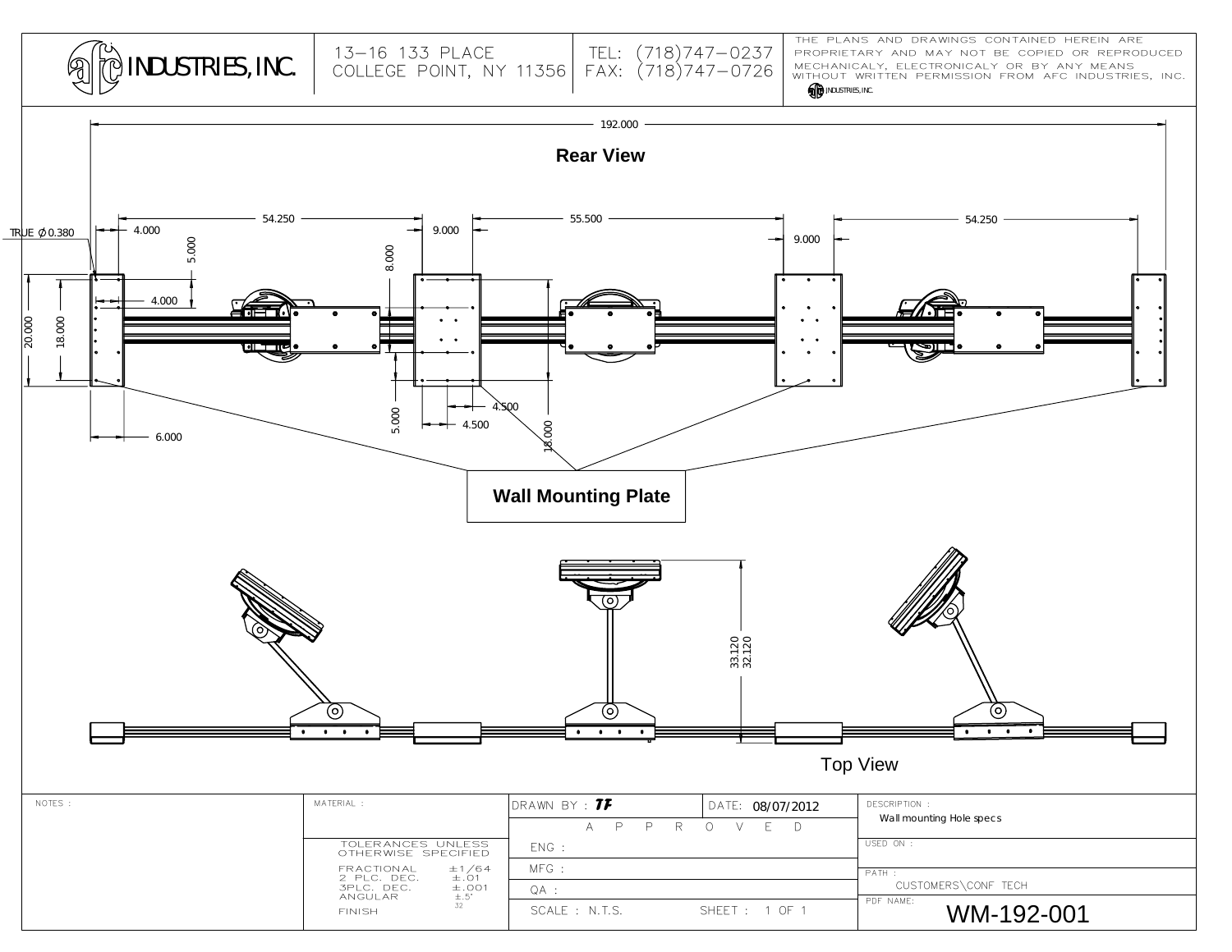

MECHANICALY, ELECTRONICALY OR BY ANY MEANS PROPRIETARY AND MAY NOT BE COPIED OR REPRODUCED THE PLANS AND DRAWINGS CONTAINED HEREIN ARE

## **INDUSTRIES, INC.** WITHOUT WRITTEN PERMISSION FROM AFC INDUSTRIES, INC.